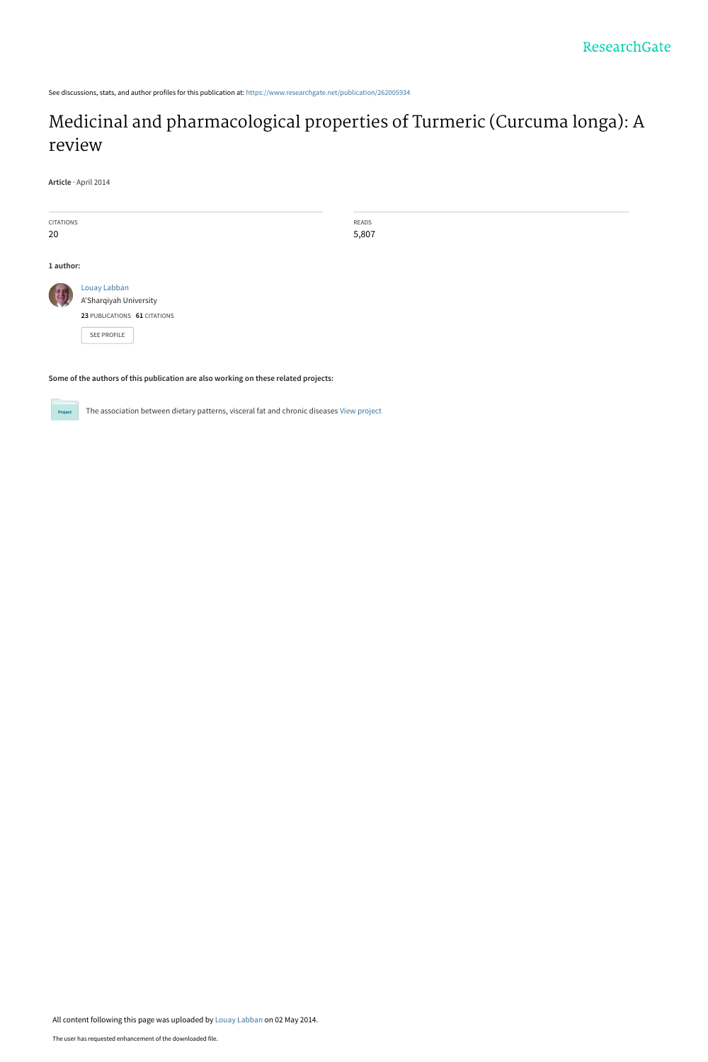See discussions, stats, and author profiles for this publication at: [https://www.researchgate.net/publication/262005934](https://www.researchgate.net/publication/262005934_Medicinal_and_pharmacological_properties_of_Turmeric_Curcuma_longa_A_review?enrichId=rgreq-a15d135701753ab4bb9de233324c4592-XXX&enrichSource=Y292ZXJQYWdlOzI2MjAwNTkzNDtBUzoxMDI3MzA4NTI5OTUwODNAMTQwMTUwNDM1Mjc0NQ%3D%3D&el=1_x_2&_esc=publicationCoverPdf)

# [Medicinal and pharmacological properties of Turmeric \(Curcuma longa\): A](https://www.researchgate.net/publication/262005934_Medicinal_and_pharmacological_properties_of_Turmeric_Curcuma_longa_A_review?enrichId=rgreq-a15d135701753ab4bb9de233324c4592-XXX&enrichSource=Y292ZXJQYWdlOzI2MjAwNTkzNDtBUzoxMDI3MzA4NTI5OTUwODNAMTQwMTUwNDM1Mjc0NQ%3D%3D&el=1_x_3&_esc=publicationCoverPdf) review

READS 5,807

**Article** · April 2014

| <b>CITATIONS</b> |                                        |
|------------------|----------------------------------------|
| 20               |                                        |
|                  |                                        |
| 1 author:        |                                        |
|                  | Louay Labban<br>A'Sharqiyah University |
|                  | 23 PUBLICATIONS 61 CITATIONS           |
|                  | <b>SFF PROFILE</b>                     |

**Some of the authors of this publication are also working on these related projects:**

 $Pro$ 

The association between dietary patterns, visceral fat and chronic diseases [View project](https://www.researchgate.net/project/The-association-between-dietary-patterns-visceral-fat-and-chronic-diseases?enrichId=rgreq-a15d135701753ab4bb9de233324c4592-XXX&enrichSource=Y292ZXJQYWdlOzI2MjAwNTkzNDtBUzoxMDI3MzA4NTI5OTUwODNAMTQwMTUwNDM1Mjc0NQ%3D%3D&el=1_x_9&_esc=publicationCoverPdf)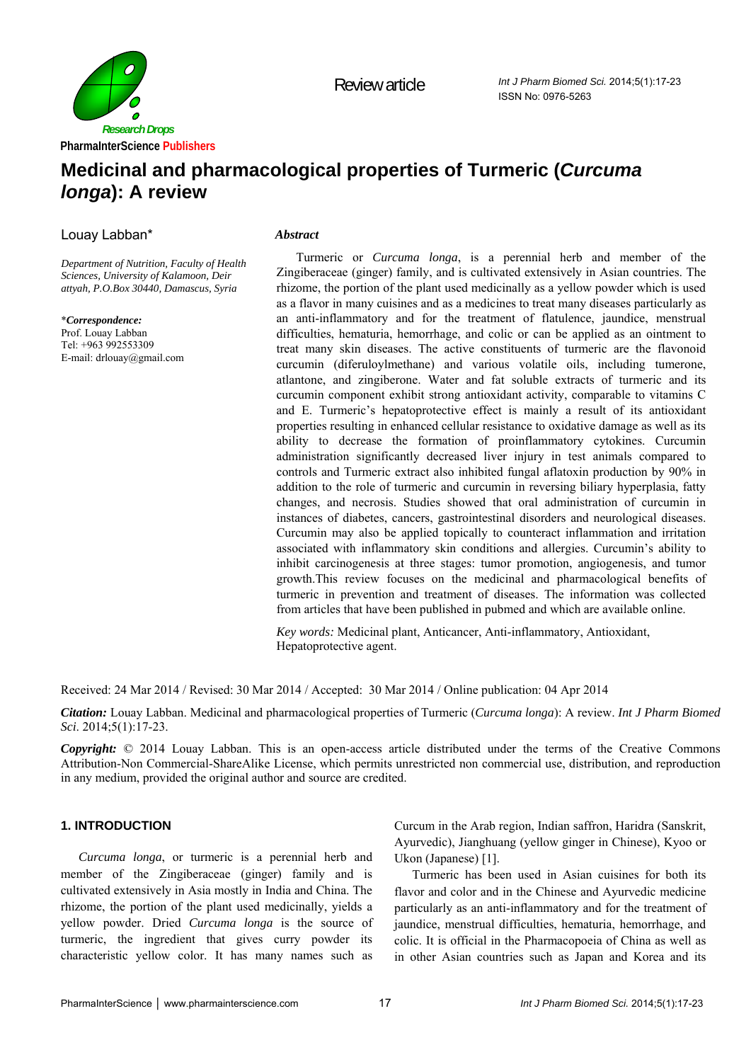

Review article

## **Medicinal and pharmacological properties of Turmeric (***Curcuma longa***): A review**

Louay Labban\*

*Department of Nutrition, Faculty of Health Sciences, University of Kalamoon, Deir attyah, P.O.Box 30440, Damascus, Syria* 

\**Correspondence:* Prof. Louay Labban Tel: +963 992553309 E-mail: drlouay@gmail.com

## *Abstract*

Turmeric or *Curcuma longa*, is a perennial herb and member of the Zingiberaceae (ginger) family, and is cultivated extensively in Asian countries. The rhizome, the portion of the plant used medicinally as a yellow powder which is used as a flavor in many cuisines and as a medicines to treat many diseases particularly as an anti-inflammatory and for the treatment of flatulence, jaundice, menstrual difficulties, hematuria, hemorrhage, and colic or can be applied as an ointment to treat many skin diseases. The active constituents of turmeric are the flavonoid curcumin (diferuloylmethane) and various volatile oils, including tumerone, atlantone, and zingiberone. Water and fat soluble extracts of turmeric and its curcumin component exhibit strong antioxidant activity, comparable to vitamins C and E. Turmeric's hepatoprotective effect is mainly a result of its antioxidant properties resulting in enhanced cellular resistance to oxidative damage as well as its ability to decrease the formation of proinflammatory cytokines. Curcumin administration significantly decreased liver injury in test animals compared to controls and Turmeric extract also inhibited fungal aflatoxin production by 90% in addition to the role of turmeric and curcumin in reversing biliary hyperplasia, fatty changes, and necrosis. Studies showed that oral administration of curcumin in instances of diabetes, cancers, gastrointestinal disorders and neurological diseases. Curcumin may also be applied topically to counteract inflammation and irritation associated with inflammatory skin conditions and allergies. Curcumin's ability to inhibit carcinogenesis at three stages: tumor promotion, angiogenesis, and tumor growth.This review focuses on the medicinal and pharmacological benefits of turmeric in prevention and treatment of diseases. The information was collected from articles that have been published in pubmed and which are available online.

*Key words:* Medicinal plant, Anticancer, Anti-inflammatory, Antioxidant, Hepatoprotective agent.

Received: 24 Mar 2014 / Revised: 30 Mar 2014 / Accepted: 30 Mar 2014 / Online publication: 04 Apr 2014

*Citation:* Louay Labban. Medicinal and pharmacological properties of Turmeric (*Curcuma longa*): A review. *Int J Pharm Biomed Sci*. 2014;5(1):17-23.

*Copyright:* © 2014 Louay Labban. This is an open-access article distributed under the terms of the Creative Commons Attribution-Non Commercial-ShareAlike License, which permits unrestricted non commercial use, distribution, and reproduction in any medium, provided the original author and source are credited.

## **1. INTRODUCTION**

*Curcuma longa*, or turmeric is a perennial herb and member of the Zingiberaceae (ginger) family and is cultivated extensively in Asia mostly in India and China. The rhizome, the portion of the plant used medicinally, yields a yellow powder. Dried *Curcuma longa* is the source of turmeric, the ingredient that gives curry powder its characteristic yellow color. It has many names such as

Curcum in the Arab region, Indian saffron, Haridra (Sanskrit, Ayurvedic), Jianghuang (yellow ginger in Chinese), Kyoo or Ukon (Japanese) [1].

Turmeric has been used in Asian cuisines for both its flavor and color and in the Chinese and Ayurvedic medicine particularly as an anti-inflammatory and for the treatment of jaundice, menstrual difficulties, hematuria, hemorrhage, and colic. It is official in the Pharmacopoeia of China as well as in other Asian countries such as Japan and Korea and its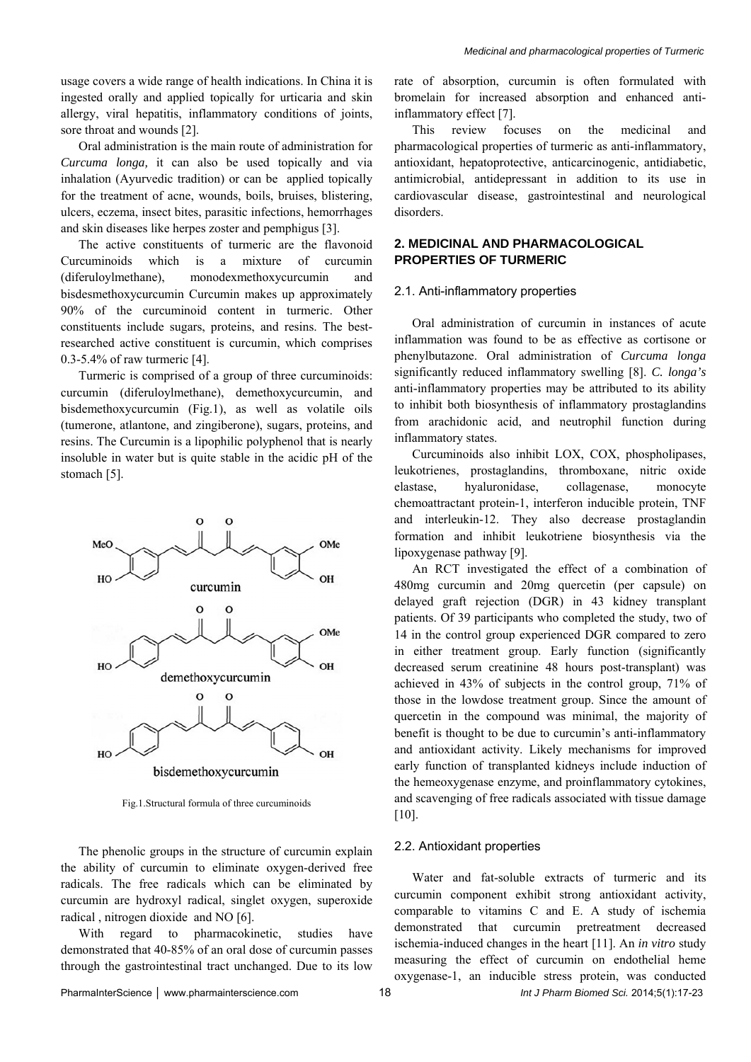usage covers a wide range of health indications. In China it is ingested orally and applied topically for urticaria and skin allergy, viral hepatitis, inflammatory conditions of joints, sore throat and wounds [2].

Oral administration is the main route of administration for *Curcuma longa,* it can also be used topically and via inhalation (Ayurvedic tradition) or can be applied topically for the treatment of acne, wounds, boils, bruises, blistering, ulcers, eczema, insect bites, parasitic infections, hemorrhages and skin diseases like herpes zoster and pemphigus [3].

The active constituents of turmeric are the flavonoid Curcuminoids which is a mixture of curcumin (diferuloylmethane), monodexmethoxycurcumin and bisdesmethoxycurcumin Curcumin makes up approximately 90% of the curcuminoid content in turmeric. Other constituents include sugars, proteins, and resins. The bestresearched active constituent is curcumin, which comprises 0.3-5.4% of raw turmeric [4].

Turmeric is comprised of a group of three curcuminoids: curcumin (diferuloylmethane), demethoxycurcumin, and bisdemethoxycurcumin (Fig.1), as well as volatile oils (tumerone, atlantone, and zingiberone), sugars, proteins, and resins. The Curcumin is a lipophilic polyphenol that is nearly insoluble in water but is quite stable in the acidic pH of the stomach [5].



Fig.1.Structural formula of three curcuminoids

The phenolic groups in the structure of curcumin explain the ability of curcumin to eliminate oxygen-derived free radicals. The free radicals which can be eliminated by curcumin are hydroxyl radical, singlet oxygen, superoxide radical , nitrogen dioxide and NO [6].

With regard to pharmacokinetic, studies have demonstrated that 40-85% of an oral dose of curcumin passes through the gastrointestinal tract unchanged. Due to its low rate of absorption, curcumin is often formulated with bromelain for increased absorption and enhanced antiinflammatory effect [7].

This review focuses on the medicinal and pharmacological properties of turmeric as anti-inflammatory, antioxidant, hepatoprotective, anticarcinogenic, antidiabetic, antimicrobial, antidepressant in addition to its use in cardiovascular disease, gastrointestinal and neurological disorders.

## **2. MEDICINAL AND PHARMACOLOGICAL PROPERTIES OF TURMERIC**

## 2.1. Anti-inflammatory properties

Oral administration of curcumin in instances of acute inflammation was found to be as effective as cortisone or phenylbutazone. Oral administration of *Curcuma longa*  significantly reduced inflammatory swelling [8]. *C. longa's*  anti-inflammatory properties may be attributed to its ability to inhibit both biosynthesis of inflammatory prostaglandins from arachidonic acid, and neutrophil function during inflammatory states.

Curcuminoids also inhibit LOX, COX, phospholipases, leukotrienes, prostaglandins, thromboxane, nitric oxide elastase, hyaluronidase, collagenase, monocyte chemoattractant protein-1, interferon inducible protein, TNF and interleukin-12. They also decrease prostaglandin formation and inhibit leukotriene biosynthesis via the lipoxygenase pathway [9].

An RCT investigated the effect of a combination of 480mg curcumin and 20mg quercetin (per capsule) on delayed graft rejection (DGR) in 43 kidney transplant patients. Of 39 participants who completed the study, two of 14 in the control group experienced DGR compared to zero in either treatment group. Early function (significantly decreased serum creatinine 48 hours post-transplant) was achieved in 43% of subjects in the control group, 71% of those in the lowdose treatment group. Since the amount of quercetin in the compound was minimal, the majority of benefit is thought to be due to curcumin's anti-inflammatory and antioxidant activity. Likely mechanisms for improved early function of transplanted kidneys include induction of the hemeoxygenase enzyme, and proinflammatory cytokines, and scavenging of free radicals associated with tissue damage [10].

## 2.2. Antioxidant properties

Water and fat-soluble extracts of turmeric and its curcumin component exhibit strong antioxidant activity, comparable to vitamins C and E. A study of ischemia demonstrated that curcumin pretreatment decreased ischemia-induced changes in the heart [11]. An *in vitro* study measuring the effect of curcumin on endothelial heme oxygenase-1, an inducible stress protein, was conducted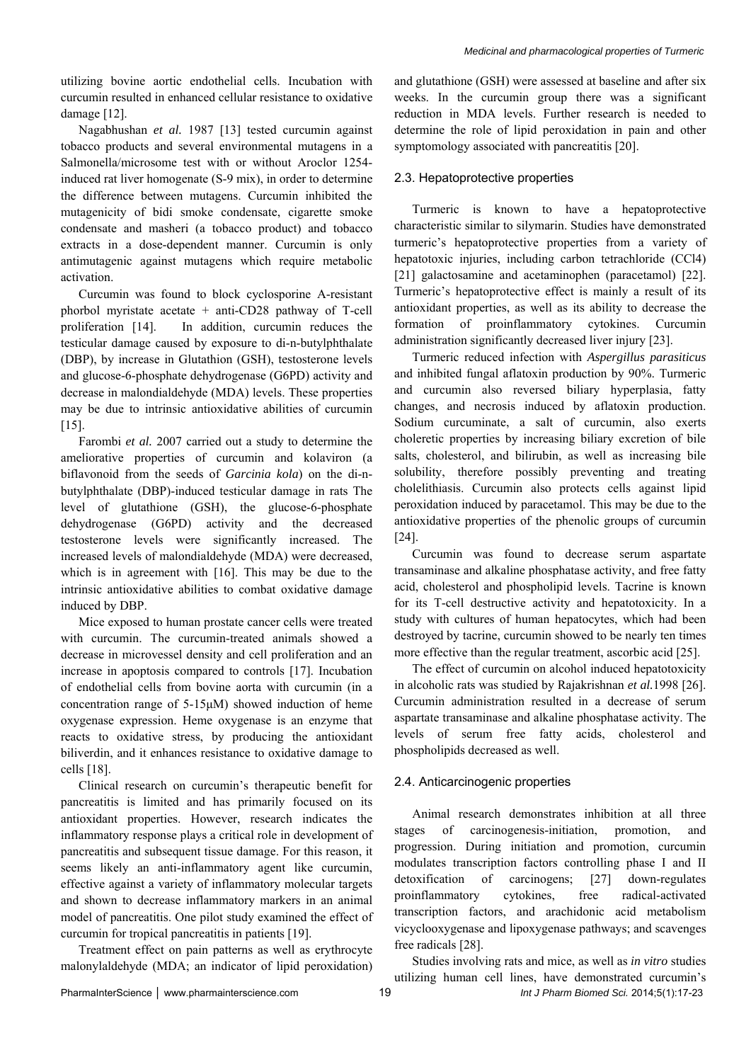utilizing bovine aortic endothelial cells. Incubation with curcumin resulted in enhanced cellular resistance to oxidative damage [12].

Nagabhushan *et al.* 1987 [13] tested curcumin against tobacco products and several environmental mutagens in a Salmonella/microsome test with or without Aroclor 1254 induced rat liver homogenate (S-9 mix), in order to determine the difference between mutagens. Curcumin inhibited the mutagenicity of bidi smoke condensate, cigarette smoke condensate and masheri (a tobacco product) and tobacco extracts in a dose-dependent manner. Curcumin is only antimutagenic against mutagens which require metabolic activation.

Curcumin was found to block cyclosporine A-resistant phorbol myristate acetate + anti-CD28 pathway of T-cell proliferation [14]. In addition, curcumin reduces the testicular damage caused by exposure to di-n-butylphthalate (DBP), by increase in Glutathion (GSH), testosterone levels and glucose-6-phosphate dehydrogenase (G6PD) activity and decrease in malondialdehyde (MDA) levels. These properties may be due to intrinsic antioxidative abilities of curcumin [15].

Farombi *et al.* 2007 carried out a study to determine the ameliorative properties of curcumin and kolaviron (a biflavonoid from the seeds of *Garcinia kola*) on the di-nbutylphthalate (DBP)-induced testicular damage in rats The level of glutathione (GSH), the glucose-6-phosphate dehydrogenase (G6PD) activity and the decreased testosterone levels were significantly increased. The increased levels of malondialdehyde (MDA) were decreased, which is in agreement with [16]. This may be due to the intrinsic antioxidative abilities to combat oxidative damage induced by DBP.

Mice exposed to human prostate cancer cells were treated with curcumin. The curcumin-treated animals showed a decrease in microvessel density and cell proliferation and an increase in apoptosis compared to controls [17]. Incubation of endothelial cells from bovine aorta with curcumin (in a concentration range of 5-15μM) showed induction of heme oxygenase expression. Heme oxygenase is an enzyme that reacts to oxidative stress, by producing the antioxidant biliverdin, and it enhances resistance to oxidative damage to cells [18].

Clinical research on curcumin's therapeutic benefit for pancreatitis is limited and has primarily focused on its antioxidant properties. However, research indicates the inflammatory response plays a critical role in development of pancreatitis and subsequent tissue damage. For this reason, it seems likely an anti-inflammatory agent like curcumin, effective against a variety of inflammatory molecular targets and shown to decrease inflammatory markers in an animal model of pancreatitis. One pilot study examined the effect of curcumin for tropical pancreatitis in patients [19].

Treatment effect on pain patterns as well as erythrocyte malonylaldehyde (MDA; an indicator of lipid peroxidation)

and glutathione (GSH) were assessed at baseline and after six weeks. In the curcumin group there was a significant reduction in MDA levels. Further research is needed to determine the role of lipid peroxidation in pain and other symptomology associated with pancreatitis [20].

## 2.3. Hepatoprotective properties

Turmeric is known to have a hepatoprotective characteristic similar to silymarin. Studies have demonstrated turmeric's hepatoprotective properties from a variety of hepatotoxic injuries, including carbon tetrachloride (CCl4) [21] galactosamine and acetaminophen (paracetamol) [22]. Turmeric's hepatoprotective effect is mainly a result of its antioxidant properties, as well as its ability to decrease the formation of proinflammatory cytokines. Curcumin administration significantly decreased liver injury [23].

Turmeric reduced infection with *Aspergillus parasiticus*  and inhibited fungal aflatoxin production by 90%. Turmeric and curcumin also reversed biliary hyperplasia, fatty changes, and necrosis induced by aflatoxin production. Sodium curcuminate, a salt of curcumin, also exerts choleretic properties by increasing biliary excretion of bile salts, cholesterol, and bilirubin, as well as increasing bile solubility, therefore possibly preventing and treating cholelithiasis. Curcumin also protects cells against lipid peroxidation induced by paracetamol. This may be due to the antioxidative properties of the phenolic groups of curcumin [24].

Curcumin was found to decrease serum aspartate transaminase and alkaline phosphatase activity, and free fatty acid, cholesterol and phospholipid levels. Tacrine is known for its T-cell destructive activity and hepatotoxicity. In a study with cultures of human hepatocytes, which had been destroyed by tacrine, curcumin showed to be nearly ten times more effective than the regular treatment, ascorbic acid [25].

The effect of curcumin on alcohol induced hepatotoxicity in alcoholic rats was studied by Rajakrishnan *et al.*1998 [26]. Curcumin administration resulted in a decrease of serum aspartate transaminase and alkaline phosphatase activity. The levels of serum free fatty acids, cholesterol and phospholipids decreased as well.

## 2.4. Anticarcinogenic properties

Animal research demonstrates inhibition at all three stages of carcinogenesis-initiation, promotion, and progression. During initiation and promotion, curcumin modulates transcription factors controlling phase I and II detoxification of carcinogens; [27] down-regulates proinflammatory cytokines, free radical-activated transcription factors, and arachidonic acid metabolism vicyclooxygenase and lipoxygenase pathways; and scavenges free radicals [28].

PharmaInterScience │ www.pharmainterscience.com 19 *Int J Pharm Biomed Sci.* 2014;5(1):17-23 Studies involving rats and mice, as well as *in vitro* studies utilizing human cell lines, have demonstrated curcumin's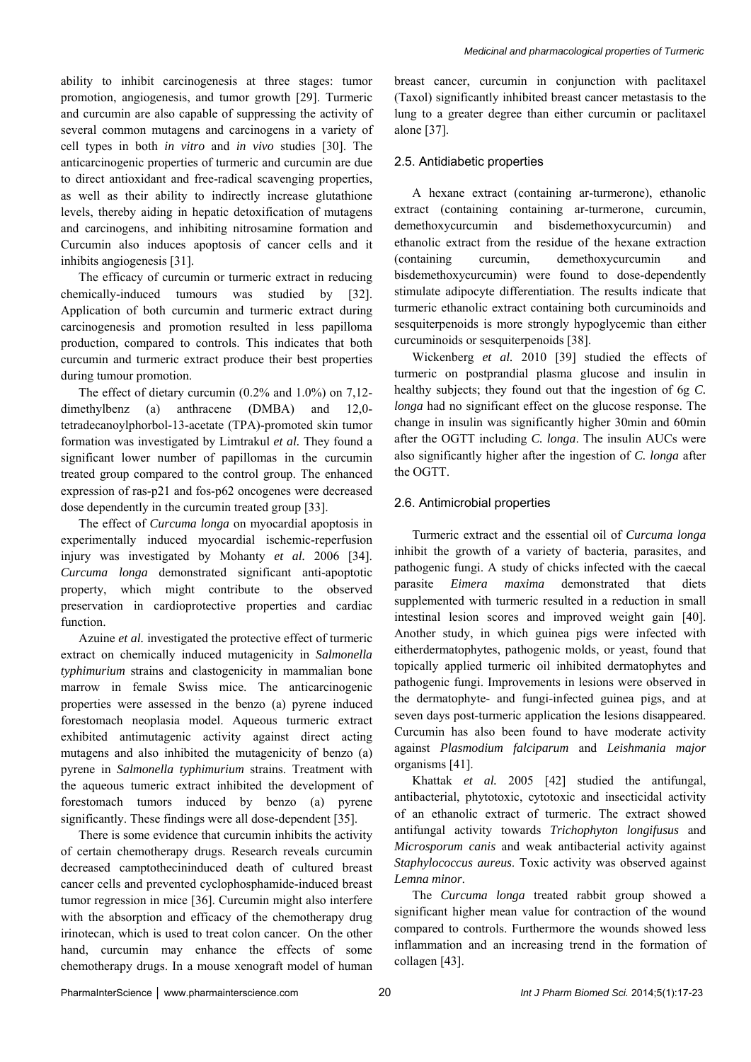ability to inhibit carcinogenesis at three stages: tumor promotion, angiogenesis, and tumor growth [29]. Turmeric and curcumin are also capable of suppressing the activity of several common mutagens and carcinogens in a variety of cell types in both *in vitro* and *in vivo* studies [30]. The anticarcinogenic properties of turmeric and curcumin are due to direct antioxidant and free-radical scavenging properties, as well as their ability to indirectly increase glutathione levels, thereby aiding in hepatic detoxification of mutagens and carcinogens, and inhibiting nitrosamine formation and Curcumin also induces apoptosis of cancer cells and it inhibits angiogenesis [31].

The efficacy of curcumin or turmeric extract in reducing chemically-induced tumours was studied by [32]. Application of both curcumin and turmeric extract during carcinogenesis and promotion resulted in less papilloma production, compared to controls. This indicates that both curcumin and turmeric extract produce their best properties during tumour promotion.

The effect of dietary curcumin (0.2% and 1.0%) on 7,12 dimethylbenz (a) anthracene (DMBA) and 12,0 tetradecanoylphorbol-13-acetate (TPA)-promoted skin tumor formation was investigated by Limtrakul *et al.* They found a significant lower number of papillomas in the curcumin treated group compared to the control group. The enhanced expression of ras-p21 and fos-p62 oncogenes were decreased dose dependently in the curcumin treated group [33].

The effect of *Curcuma longa* on myocardial apoptosis in experimentally induced myocardial ischemic-reperfusion injury was investigated by Mohanty *et al.* 2006 [34]. *Curcuma longa* demonstrated significant anti-apoptotic property, which might contribute to the observed preservation in cardioprotective properties and cardiac function.

Azuine *et al.* investigated the protective effect of turmeric extract on chemically induced mutagenicity in *Salmonella typhimurium* strains and clastogenicity in mammalian bone marrow in female Swiss mice. The anticarcinogenic properties were assessed in the benzo (a) pyrene induced forestomach neoplasia model. Aqueous turmeric extract exhibited antimutagenic activity against direct acting mutagens and also inhibited the mutagenicity of benzo (a) pyrene in *Salmonella typhimurium* strains. Treatment with the aqueous tumeric extract inhibited the development of forestomach tumors induced by benzo (a) pyrene significantly. These findings were all dose-dependent [35].

There is some evidence that curcumin inhibits the activity of certain chemotherapy drugs. Research reveals curcumin decreased camptothecininduced death of cultured breast cancer cells and prevented cyclophosphamide-induced breast tumor regression in mice [36]. Curcumin might also interfere with the absorption and efficacy of the chemotherapy drug irinotecan, which is used to treat colon cancer. On the other hand, curcumin may enhance the effects of some chemotherapy drugs. In a mouse xenograft model of human breast cancer, curcumin in conjunction with paclitaxel (Taxol) significantly inhibited breast cancer metastasis to the lung to a greater degree than either curcumin or paclitaxel alone [37].

## 2.5. Antidiabetic properties

A hexane extract (containing ar-turmerone), ethanolic extract (containing containing ar-turmerone, curcumin, demethoxycurcumin and bisdemethoxycurcumin) and ethanolic extract from the residue of the hexane extraction (containing curcumin, demethoxycurcumin and bisdemethoxycurcumin) were found to dose-dependently stimulate adipocyte differentiation. The results indicate that turmeric ethanolic extract containing both curcuminoids and sesquiterpenoids is more strongly hypoglycemic than either curcuminoids or sesquiterpenoids [38].

Wickenberg *et al.* 2010 [39] studied the effects of turmeric on postprandial plasma glucose and insulin in healthy subjects; they found out that the ingestion of 6g *C. longa* had no significant effect on the glucose response. The change in insulin was significantly higher 30min and 60min after the OGTT including *C. longa*. The insulin AUCs were also significantly higher after the ingestion of *C. longa* after the OGTT.

## 2.6. Antimicrobial properties

Turmeric extract and the essential oil of *Curcuma longa*  inhibit the growth of a variety of bacteria, parasites, and pathogenic fungi. A study of chicks infected with the caecal parasite *Eimera maxima* demonstrated that diets supplemented with turmeric resulted in a reduction in small intestinal lesion scores and improved weight gain [40]. Another study, in which guinea pigs were infected with eitherdermatophytes, pathogenic molds, or yeast, found that topically applied turmeric oil inhibited dermatophytes and pathogenic fungi. Improvements in lesions were observed in the dermatophyte- and fungi-infected guinea pigs, and at seven days post-turmeric application the lesions disappeared. Curcumin has also been found to have moderate activity against *Plasmodium falciparum* and *Leishmania major*  organisms [41].

Khattak *et al.* 2005 [42] studied the antifungal, antibacterial, phytotoxic, cytotoxic and insecticidal activity of an ethanolic extract of turmeric. The extract showed antifungal activity towards *Trichophyton longifusus* and *Microsporum canis* and weak antibacterial activity against *Staphylococcus aureus*. Toxic activity was observed against *Lemna minor*.

The *Curcuma longa* treated rabbit group showed a significant higher mean value for contraction of the wound compared to controls. Furthermore the wounds showed less inflammation and an increasing trend in the formation of collagen [43].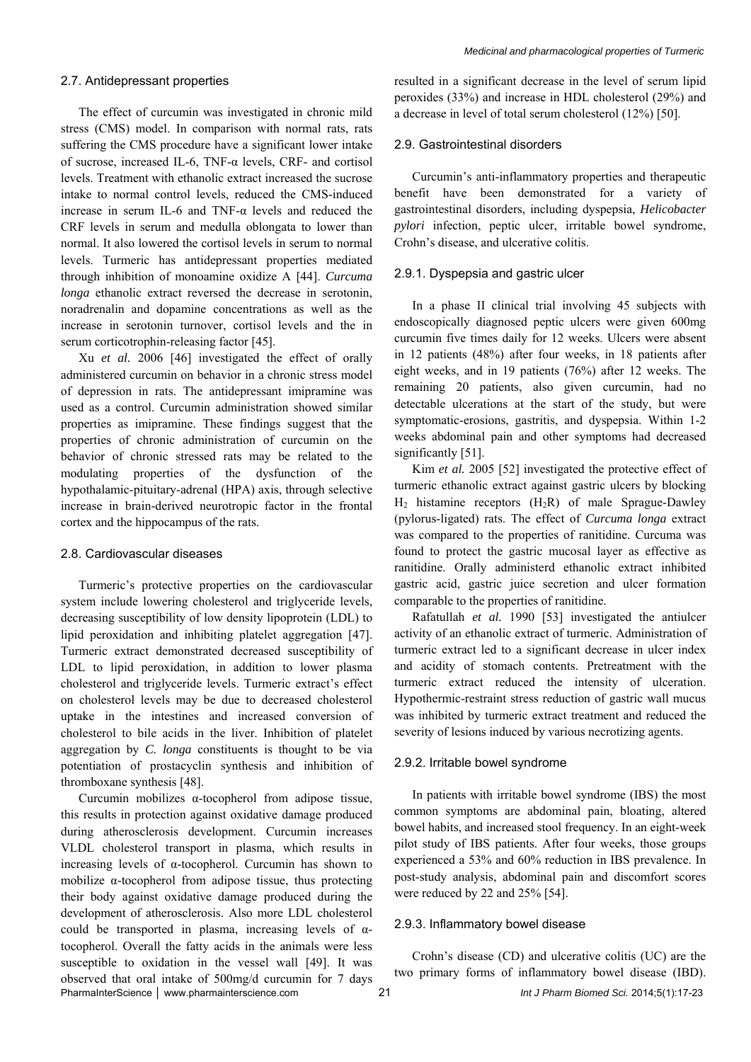#### 2.7. Antidepressant properties

The effect of curcumin was investigated in chronic mild stress (CMS) model. In comparison with normal rats, rats suffering the CMS procedure have a significant lower intake of sucrose, increased IL-6, TNF- $\alpha$  levels, CRF- and cortisol levels. Treatment with ethanolic extract increased the sucrose intake to normal control levels, reduced the CMS-induced increase in serum IL-6 and TNF-α levels and reduced the CRF levels in serum and medulla oblongata to lower than normal. It also lowered the cortisol levels in serum to normal levels. Turmeric has antidepressant properties mediated through inhibition of monoamine oxidize A [44]. *Curcuma longa* ethanolic extract reversed the decrease in serotonin, noradrenalin and dopamine concentrations as well as the increase in serotonin turnover, cortisol levels and the in serum corticotrophin-releasing factor [45].

Xu *et al.* 2006 [46] investigated the effect of orally administered curcumin on behavior in a chronic stress model of depression in rats. The antidepressant imipramine was used as a control. Curcumin administration showed similar properties as imipramine. These findings suggest that the properties of chronic administration of curcumin on the behavior of chronic stressed rats may be related to the modulating properties of the dysfunction of the hypothalamic-pituitary-adrenal (HPA) axis, through selective increase in brain-derived neurotropic factor in the frontal cortex and the hippocampus of the rats.

#### 2.8. Cardiovascular diseases

Turmeric's protective properties on the cardiovascular system include lowering cholesterol and triglyceride levels, decreasing susceptibility of low density lipoprotein (LDL) to lipid peroxidation and inhibiting platelet aggregation [47]. Turmeric extract demonstrated decreased susceptibility of LDL to lipid peroxidation, in addition to lower plasma cholesterol and triglyceride levels. Turmeric extract's effect on cholesterol levels may be due to decreased cholesterol uptake in the intestines and increased conversion of cholesterol to bile acids in the liver. Inhibition of platelet aggregation by *C. longa* constituents is thought to be via potentiation of prostacyclin synthesis and inhibition of thromboxane synthesis [48].

PharmaInterScience │ www.pharmainterscience.com 21 *Int J Pharm Biomed Sci.* 2014;5(1):17-23 Curcumin mobilizes α-tocopherol from adipose tissue, this results in protection against oxidative damage produced during atherosclerosis development. Curcumin increases VLDL cholesterol transport in plasma, which results in increasing levels of α-tocopherol. Curcumin has shown to mobilize α-tocopherol from adipose tissue, thus protecting their body against oxidative damage produced during the development of atherosclerosis. Also more LDL cholesterol could be transported in plasma, increasing levels of  $\alpha$ tocopherol. Overall the fatty acids in the animals were less susceptible to oxidation in the vessel wall [49]. It was observed that oral intake of 500mg/d curcumin for 7 days

resulted in a significant decrease in the level of serum lipid peroxides (33%) and increase in HDL cholesterol (29%) and a decrease in level of total serum cholesterol (12%) [50].

#### 2.9. Gastrointestinal disorders

Curcumin's anti-inflammatory properties and therapeutic benefit have been demonstrated for a variety of gastrointestinal disorders, including dyspepsia, *Helicobacter pylori* infection, peptic ulcer, irritable bowel syndrome, Crohn's disease, and ulcerative colitis.

#### 2.9.1. Dyspepsia and gastric ulcer

In a phase II clinical trial involving 45 subjects with endoscopically diagnosed peptic ulcers were given 600mg curcumin five times daily for 12 weeks. Ulcers were absent in 12 patients (48%) after four weeks, in 18 patients after eight weeks, and in 19 patients (76%) after 12 weeks. The remaining 20 patients, also given curcumin, had no detectable ulcerations at the start of the study, but were symptomatic-erosions, gastritis, and dyspepsia. Within 1-2 weeks abdominal pain and other symptoms had decreased significantly [51].

Kim *et al.* 2005 [52] investigated the protective effect of turmeric ethanolic extract against gastric ulcers by blocking  $H_2$  histamine receptors  $(H_2R)$  of male Sprague-Dawley (pylorus-ligated) rats. The effect of *Curcuma longa* extract was compared to the properties of ranitidine. Curcuma was found to protect the gastric mucosal layer as effective as ranitidine. Orally administerd ethanolic extract inhibited gastric acid, gastric juice secretion and ulcer formation comparable to the properties of ranitidine.

Rafatullah *et al.* 1990 [53] investigated the antiulcer activity of an ethanolic extract of turmeric. Administration of turmeric extract led to a significant decrease in ulcer index and acidity of stomach contents. Pretreatment with the turmeric extract reduced the intensity of ulceration. Hypothermic-restraint stress reduction of gastric wall mucus was inhibited by turmeric extract treatment and reduced the severity of lesions induced by various necrotizing agents.

#### 2.9.2. Irritable bowel syndrome

In patients with irritable bowel syndrome (IBS) the most common symptoms are abdominal pain, bloating, altered bowel habits, and increased stool frequency. In an eight-week pilot study of IBS patients. After four weeks, those groups experienced a 53% and 60% reduction in IBS prevalence. In post-study analysis, abdominal pain and discomfort scores were reduced by 22 and 25% [54].

## 2.9.3. Inflammatory bowel disease

Crohn's disease (CD) and ulcerative colitis (UC) are the two primary forms of inflammatory bowel disease (IBD).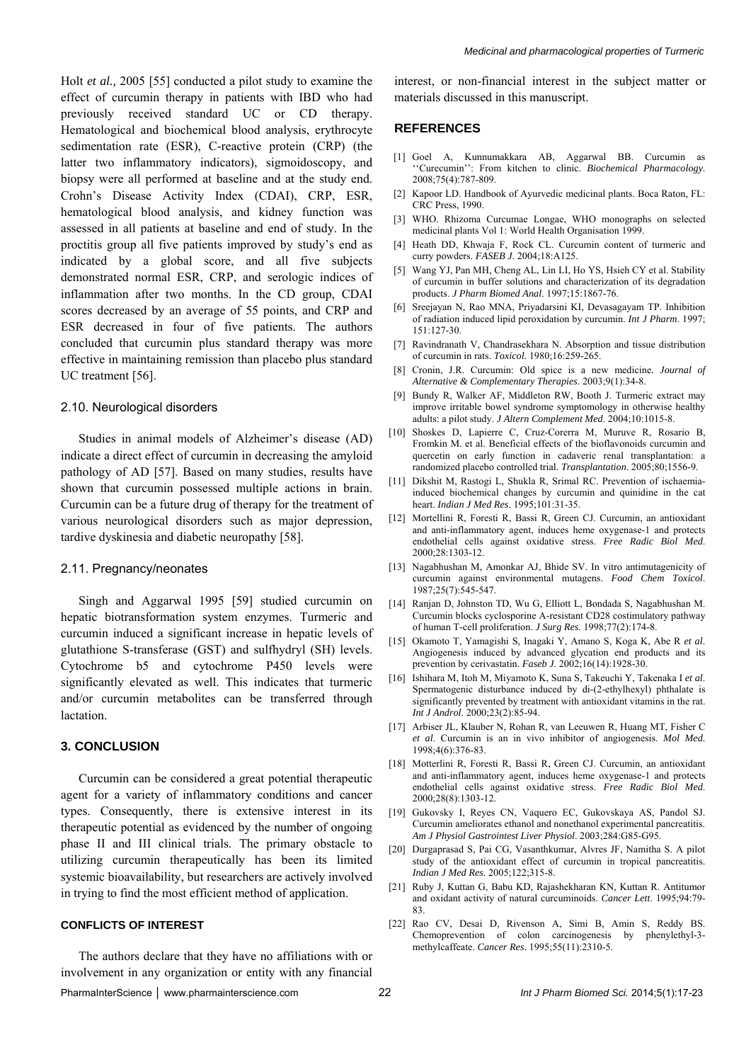Holt *et al.,* 2005 [55] conducted a pilot study to examine the effect of curcumin therapy in patients with IBD who had previously received standard UC or CD therapy. Hematological and biochemical blood analysis, erythrocyte sedimentation rate (ESR), C-reactive protein (CRP) (the latter two inflammatory indicators), sigmoidoscopy, and biopsy were all performed at baseline and at the study end. Crohn's Disease Activity Index (CDAI), CRP, ESR, hematological blood analysis, and kidney function was assessed in all patients at baseline and end of study. In the proctitis group all five patients improved by study's end as indicated by a global score, and all five subjects demonstrated normal ESR, CRP, and serologic indices of inflammation after two months. In the CD group, CDAI scores decreased by an average of 55 points, and CRP and ESR decreased in four of five patients. The authors concluded that curcumin plus standard therapy was more effective in maintaining remission than placebo plus standard UC treatment [56].

## 2.10. Neurological disorders

Studies in animal models of Alzheimer's disease (AD) indicate a direct effect of curcumin in decreasing the amyloid pathology of AD [57]. Based on many studies, results have shown that curcumin possessed multiple actions in brain. Curcumin can be a future drug of therapy for the treatment of various neurological disorders such as major depression, tardive dyskinesia and diabetic neuropathy [58].

#### 2.11. Pregnancy/neonates

Singh and Aggarwal 1995 [59] studied curcumin on hepatic biotransformation system enzymes. Turmeric and curcumin induced a significant increase in hepatic levels of glutathione S-transferase (GST) and sulfhydryl (SH) levels. Cytochrome b5 and cytochrome P450 levels were significantly elevated as well. This indicates that turmeric and/or curcumin metabolites can be transferred through lactation.

## **3. CONCLUSION**

Curcumin can be considered a great potential therapeutic agent for a variety of inflammatory conditions and cancer types. Consequently, there is extensive interest in its therapeutic potential as evidenced by the number of ongoing phase II and III clinical trials. The primary obstacle to utilizing curcumin therapeutically has been its limited systemic bioavailability, but researchers are actively involved in trying to find the most efficient method of application.

## **CONFLICTS OF INTEREST**

The authors declare that they have no affiliations with or involvement in any organization or entity with any financial

interest, or non-financial interest in the subject matter or materials discussed in this manuscript.

## **REFERENCES**

- [1] Goel A, Kunnumakkara AB, Aggarwal BB. Curcumin as ''Curecumin'': From kitchen to clinic. *Biochemical Pharmacology*. 2008;75(4):787-809.
- [2] Kapoor LD. Handbook of Ayurvedic medicinal plants. Boca Raton, FL: CRC Press, 1990.
- [3] WHO. Rhizoma Curcumae Longae, WHO monographs on selected medicinal plants Vol 1: World Health Organisation 1999.
- [4] Heath DD, Khwaja F, Rock CL. Curcumin content of turmeric and curry powders. *FASEB J*. 2004;18:A125.
- [5] Wang YJ, Pan MH, Cheng AL, Lin LI, Ho YS, Hsieh CY et al. Stability of curcumin in buffer solutions and characterization of its degradation products. *J Pharm Biomed Anal*. 1997;15:1867-76.
- [6] Sreejayan N, Rao MNA, Priyadarsini KI, Devasagayam TP. Inhibition of radiation induced lipid peroxidation by curcumin. *Int J Pharm*. 1997;  $151:127-30.$
- [7] Ravindranath V, Chandrasekhara N. Absorption and tissue distribution of curcumin in rats. *Toxicol*. 1980;16:259-265.
- [8] Cronin, J.R. Curcumin: Old spice is a new medicine*. Journal of Alternative & Complementary Therapies*. 2003;9(1):34-8.
- [9] Bundy R, Walker AF, Middleton RW, Booth J. Turmeric extract may improve irritable bowel syndrome symptomology in otherwise healthy adults: a pilot study. *J Altern Complement Med*. 2004;10:1015-8.
- [10] Shoskes D, Lapierre C, Cruz-Corerra M, Muruve R, Rosario B, Fromkin M. et al. Beneficial effects of the bioflavonoids curcumin and quercetin on early function in cadaveric renal transplantation: a randomized placebo controlled trial. *Transplantation*. 2005;80;1556-9.
- [11] Dikshit M, Rastogi L, Shukla R, Srimal RC. Prevention of ischaemiainduced biochemical changes by curcumin and quinidine in the cat heart. *Indian J Med Res*. 1995;101:31-35.
- [12] Mortellini R, Foresti R, Bassi R, Green CJ. Curcumin, an antioxidant and anti-inflammatory agent, induces heme oxygenase-1 and protects endothelial cells against oxidative stress. *Free Radic Biol Med*. 2000;28:1303-12.
- [13] Nagabhushan M, Amonkar AJ, Bhide SV. In vitro antimutagenicity of curcumin against environmental mutagens. *Food Chem Toxicol*. 1987;25(7):545-547.
- [14] Ranjan D, Johnston TD, Wu G, Elliott L, Bondada S, Nagabhushan M. Curcumin blocks cyclosporine A-resistant CD28 costimulatory pathway of human T-cell proliferation. *J Surg Res*. 1998;77(2):174-8.
- [15] Okamoto T, Yamagishi S, Inagaki Y, Amano S, Koga K, Abe R *et al*. Angiogenesis induced by advanced glycation end products and its prevention by cerivastatin. *Faseb J*. 2002;16(14):1928-30.
- [16] Ishihara M, Itoh M, Miyamoto K, Suna S, Takeuchi Y, Takenaka I *et al*. Spermatogenic disturbance induced by di-(2-ethylhexyl) phthalate is significantly prevented by treatment with antioxidant vitamins in the rat. *Int J Androl*. 2000;23(2):85-94.
- [17] Arbiser JL, Klauber N, Rohan R, van Leeuwen R, Huang MT, Fisher C *et al*. Curcumin is an in vivo inhibitor of angiogenesis. *Mol Med*. 1998;4(6):376-83.
- [18] Motterlini R, Foresti R, Bassi R, Green CJ. Curcumin, an antioxidant and anti-inflammatory agent, induces heme oxygenase-1 and protects endothelial cells against oxidative stress. *Free Radic Biol Med*. 2000;28(8):1303-12.
- [19] Gukovsky I, Reyes CN, Vaquero EC, Gukovskaya AS, Pandol SJ. Curcumin ameliorates ethanol and nonethanol experimental pancreatitis. *Am J Physiol Gastrointest Liver Physiol*. 2003;284:G85-G95.
- [20] Durgaprasad S, Pai CG, Vasanthkumar, Alvres JF, Namitha S. A pilot study of the antioxidant effect of curcumin in tropical pancreatitis. *Indian J Med Res*. 2005;122;315-8.
- [21] Ruby J, Kuttan G, Babu KD, Rajashekharan KN, Kuttan R. Antitumor and oxidant activity of natural curcuminoids. *Cancer Lett*. 1995;94:79- 83.
- [22] Rao CV, Desai D, Rivenson A, Simi B, Amin S, Reddy BS. Chemoprevention of colon carcinogenesis by phenylethyl-3 methylcaffeate. *Cancer Res*. 1995;55(11):2310-5.